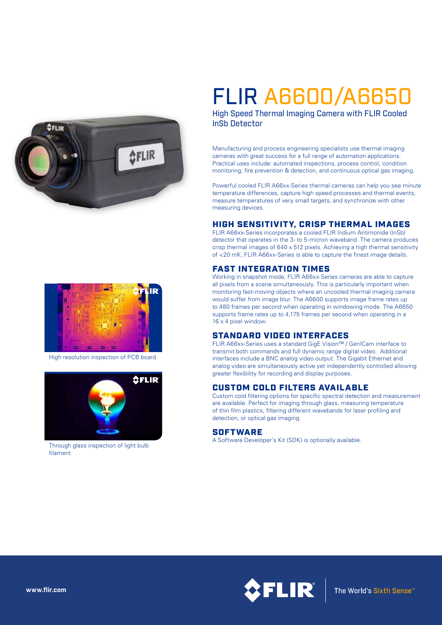



High resolution inspection of PCB board



Through glass inspection of light bulb filament

# FLIR A6600/A6650

High Speed Thermal Imaging Camera with FLIR Cooled InSb Detector

Manufacturing and process engineering specialists use thermal imaging cameras with great success for a full range of automation applications. Practical uses include: automated inspections, process control, condition monitoring, fire prevention & detection, and continuous optical gas imaging.

Powerful cooled FLIR A66xx-Series thermal cameras can help you see minute temperature differences, capture high speed processes and thermal events, measure temperatures of very small targets, and synchronize with other measuring devices.

#### HIGH SENSITIVITY, CRISP THERMAL IMAGES

FLIR A66xx-Series incorporates a cooled FLIR Indium Antimonide (InSb) detector that operates in the 3- to 5-micron waveband. The camera produces crisp thermal images of 640 x 512 pixels. Achieving a high thermal sensitivity of <20 mK, FLIR A66xx-Series is able to capture the finest image details.

### FAST INTEGRATION TIMES

Working in snapshot mode, FLIR A66xx-Series cameras are able to capture all pixels from a scene simultaneously. This is particularly important when monitoring fast-moving objects where an uncooled thermal imaging camera would suffer from image blur. The A6600 supports image frame rates up to 480 frames per second when operating in windowing mode. The A6650 supports frame rates up to 4,175 frames per second when operating in a 16 x 4 pixel window.

# STANDARD VIDEO INTERFACES

FLIR A66xx-Series uses a standard GigE Vision™ / GenICam interface to transmit both commands and full dynamic range digital video. Additional interfaces include a BNC analog video output. The Gigabit Ethernet and analog video are simultaneously active yet independently controlled allowing greater flexibility for recording and display purposes.

#### CUSTOM COLD FILTERS AVAILABLE

Custom cold filtering options for specific spectral detection and measurement are available. Perfect for imaging through glass, measuring temperature of thin film plastics, filtering different wavebands for laser profiling and detection, or optical gas imaging.

#### **SOFTWARE**

A Software Developer's Kit (SDK) is optionally available.